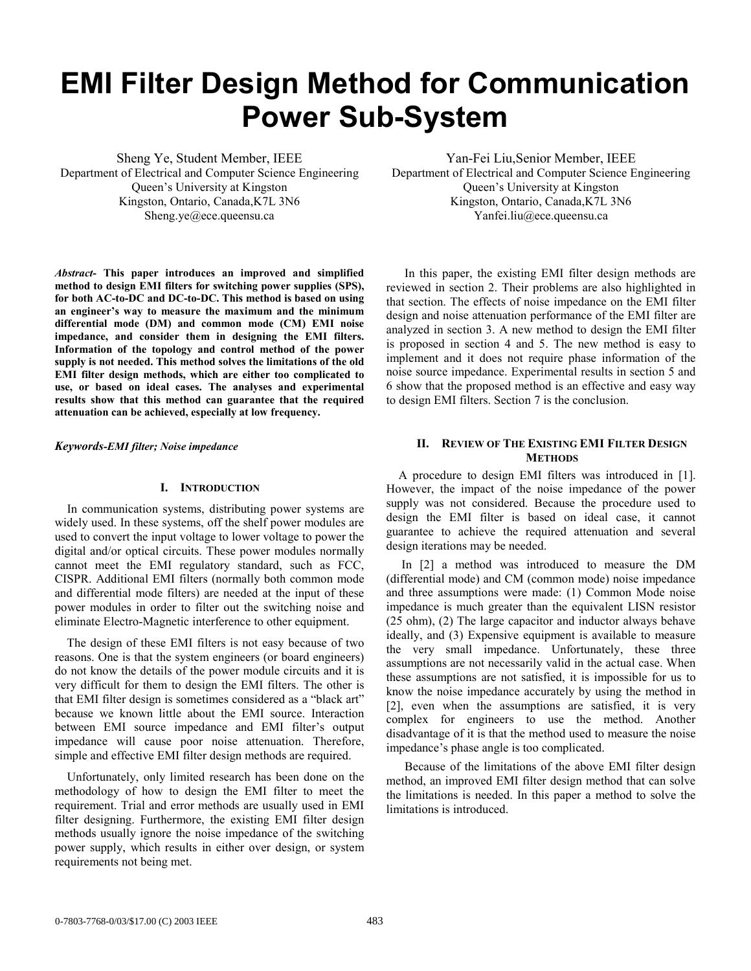# **EMI Filter Design Method for Communication Power Sub-System**

Sheng Ye, Student Member, IEEE Department of Electrical and Computer Science Engineering Queen's University at Kingston Kingston, Ontario, Canada,K7L 3N6 Sheng.ye@ece.queensu.ca

*Abstract-* **This paper introduces an improved and simplified method to design EMI filters for switching power supplies (SPS), for both AC-to-DC and DC-to-DC. This method is based on using an engineer's way to measure the maximum and the minimum differential mode (DM) and common mode (CM) EMI noise impedance, and consider them in designing the EMI filters. Information of the topology and control method of the power supply is not needed. This method solves the limitations of the old EMI filter design methods, which are either too complicated to use, or based on ideal cases. The analyses and experimental results show that this method can guarantee that the required attenuation can be achieved, especially at low frequency.** 

*Keywords-EMI filter; Noise impedance* 

#### **I. INTRODUCTION**

 In communication systems, distributing power systems are widely used. In these systems, off the shelf power modules are used to convert the input voltage to lower voltage to power the digital and/or optical circuits. These power modules normally cannot meet the EMI regulatory standard, such as FCC, CISPR. Additional EMI filters (normally both common mode and differential mode filters) are needed at the input of these power modules in order to filter out the switching noise and eliminate Electro-Magnetic interference to other equipment.

 The design of these EMI filters is not easy because of two reasons. One is that the system engineers (or board engineers) do not know the details of the power module circuits and it is very difficult for them to design the EMI filters. The other is that EMI filter design is sometimes considered as a "black art" because we known little about the EMI source. Interaction between EMI source impedance and EMI filter's output impedance will cause poor noise attenuation. Therefore, simple and effective EMI filter design methods are required.

 Unfortunately, only limited research has been done on the methodology of how to design the EMI filter to meet the requirement. Trial and error methods are usually used in EMI filter designing. Furthermore, the existing EMI filter design methods usually ignore the noise impedance of the switching power supply, which results in either over design, or system requirements not being met.

Yan-Fei Liu,Senior Member, IEEE Department of Electrical and Computer Science Engineering Queen's University at Kingston Kingston, Ontario, Canada,K7L 3N6 Yanfei.liu@ece.queensu.ca

In this paper, the existing EMI filter design methods are reviewed in section 2. Their problems are also highlighted in that section. The effects of noise impedance on the EMI filter design and noise attenuation performance of the EMI filter are analyzed in section 3. A new method to design the EMI filter is proposed in section 4 and 5. The new method is easy to implement and it does not require phase information of the noise source impedance. Experimental results in section 5 and 6 show that the proposed method is an effective and easy way to design EMI filters. Section 7 is the conclusion.

# **II. REVIEW OF THE EXISTING EMI FILTER DESIGN METHODS**

 A procedure to design EMI filters was introduced in [1]. However, the impact of the noise impedance of the power supply was not considered. Because the procedure used to design the EMI filter is based on ideal case, it cannot guarantee to achieve the required attenuation and several design iterations may be needed.

 In [2] a method was introduced to measure the DM (differential mode) and CM (common mode) noise impedance and three assumptions were made: (1) Common Mode noise impedance is much greater than the equivalent LISN resistor (25 ohm), (2) The large capacitor and inductor always behave ideally, and (3) Expensive equipment is available to measure the very small impedance. Unfortunately, these three assumptions are not necessarily valid in the actual case. When these assumptions are not satisfied, it is impossible for us to know the noise impedance accurately by using the method in [2], even when the assumptions are satisfied, it is very complex for engineers to use the method. Another disadvantage of it is that the method used to measure the noise impedance's phase angle is too complicated.

 Because of the limitations of the above EMI filter design method, an improved EMI filter design method that can solve the limitations is needed. In this paper a method to solve the limitations is introduced.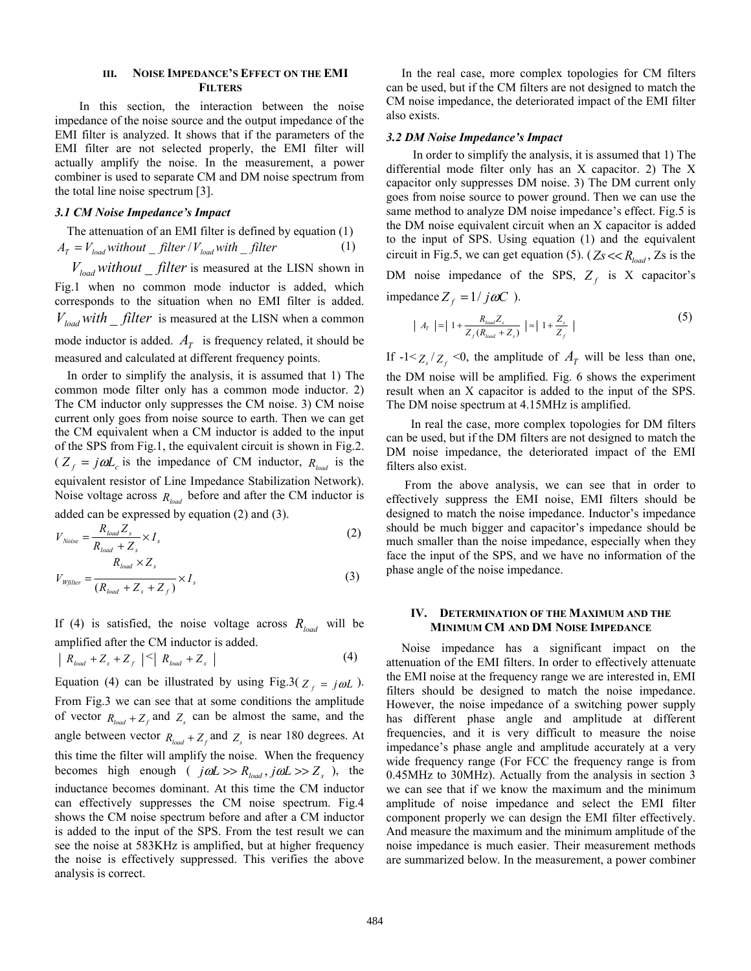### **III. NOISE IMPEDANCE'S EFFECT ON THE EMI FILTERS**

 In this section, the interaction between the noise impedance of the noise source and the output impedance of the EMI filter is analyzed. It shows that if the parameters of the EMI filter are not selected properly, the EMI filter will actually amplify the noise. In the measurement, a power combiner is used to separate CM and DM noise spectrum from the total line noise spectrum [3].

#### *3.1 CM Noise Impedance's Impact*

 The attenuation of an EMI filter is defined by equation (1)  $A_T = V_{load}$  *without* \_ *filter | V*<sub>load</sub> with \_ *filter* (1)

 $V_{load}$  *without* filter is measured at the LISN shown in Fig.1 when no common mode inductor is added, which corresponds to the situation when no EMI filter is added.  $V_{load}$  *with filter* is measured at the LISN when a common mode inductor is added.  $A_T$  is frequency related, it should be measured and calculated at different frequency points.

 In order to simplify the analysis, it is assumed that 1) The common mode filter only has a common mode inductor. 2) The CM inductor only suppresses the CM noise. 3) CM noise current only goes from noise source to earth. Then we can get the CM equivalent when a CM inductor is added to the input of the SPS from Fig.1, the equivalent circuit is shown in Fig.2.  $(Z_f = j\omega L_c)$  is the impedance of CM inductor,  $R_{load}$  is the equivalent resistor of Line Impedance Stabilization Network). Noise voltage across  $R_{load}$  before and after the CM inductor is added can be expressed by equation (2) and (3).

$$
V_{Noise} = \frac{R_{load} Z_s}{R_{load} + Z_s} \times I_s
$$
\n
$$
R_{load} \times Z_s
$$
\n(2)

$$
V_{W\text{filter}} = \frac{R_{\text{load}} + Z_s + Z_f}{(R_{\text{load}} + Z_s + Z_f)} \times I_s
$$
 (3)

If (4) is satisfied, the noise voltage across  $R_{load}$  will be amplified after the CM inductor is added.

$$
\left| R_{load} + Z_s + Z_f \right| \leq \left| R_{load} + Z_s \right| \tag{4}
$$

Equation (4) can be illustrated by using Fig.3( $Z_f = j\omega L$ ). From Fig.3 we can see that at some conditions the amplitude of vector  $R_{load} + Z_f$  and  $Z_s$  can be almost the same, and the angle between vector  $R_{load} + Z_f$  and  $Z_s$  is near 180 degrees. At this time the filter will amplify the noise. When the frequency becomes high enough (  $j\omega L >> R_{load}$ ,  $j\omega L >> Z_s$  ), the inductance becomes dominant. At this time the CM inductor can effectively suppresses the CM noise spectrum. Fig.4 shows the CM noise spectrum before and after a CM inductor is added to the input of the SPS. From the test result we can see the noise at 583KHz is amplified, but at higher frequency the noise is effectively suppressed. This verifies the above analysis is correct.

 In the real case, more complex topologies for CM filters can be used, but if the CM filters are not designed to match the CM noise impedance, the deteriorated impact of the EMI filter also exists.

# *3.2 DM Noise Impedance's Impact*

In order to simplify the analysis, it is assumed that 1) The differential mode filter only has an X capacitor. 2) The X capacitor only suppresses DM noise. 3) The DM current only goes from noise source to power ground. Then we can use the same method to analyze DM noise impedance's effect. Fig.5 is the DM noise equivalent circuit when an X capacitor is added to the input of SPS. Using equation (1) and the equivalent circuit in Fig.5, we can get equation (5). ( $Z_s \ll R_{load}$ , Zs is the DM noise impedance of the SPS,  $Z_f$  is X capacitor's impedance  $Z_f = 1/j\omega C$ .

$$
| A_r | = | 1 + \frac{R_{load} Z_s}{Z_f (R_{load} + Z_s)} | \approx | 1 + \frac{Z_s}{Z_f} |
$$
 (5)

If  $-1 < z_s / z_f < 0$ , the amplitude of  $A_T$  will be less than one, the DM noise will be amplified. Fig. 6 shows the experiment result when an X capacitor is added to the input of the SPS. The DM noise spectrum at 4.15MHz is amplified.

 In real the case, more complex topologies for DM filters can be used, but if the DM filters are not designed to match the DM noise impedance, the deteriorated impact of the EMI filters also exist.

 From the above analysis, we can see that in order to effectively suppress the EMI noise, EMI filters should be designed to match the noise impedance. Inductor's impedance should be much bigger and capacitor's impedance should be much smaller than the noise impedance, especially when they face the input of the SPS, and we have no information of the phase angle of the noise impedance.

# **IV. DETERMINATION OF THE MAXIMUM AND THE MINIMUM CM AND DM NOISE IMPEDANCE**

 Noise impedance has a significant impact on the attenuation of the EMI filters. In order to effectively attenuate the EMI noise at the frequency range we are interested in, EMI filters should be designed to match the noise impedance. However, the noise impedance of a switching power supply has different phase angle and amplitude at different frequencies, and it is very difficult to measure the noise impedance's phase angle and amplitude accurately at a very wide frequency range (For FCC the frequency range is from 0.45MHz to 30MHz). Actually from the analysis in section 3 we can see that if we know the maximum and the minimum amplitude of noise impedance and select the EMI filter component properly we can design the EMI filter effectively. And measure the maximum and the minimum amplitude of the noise impedance is much easier. Their measurement methods are summarized below. In the measurement, a power combiner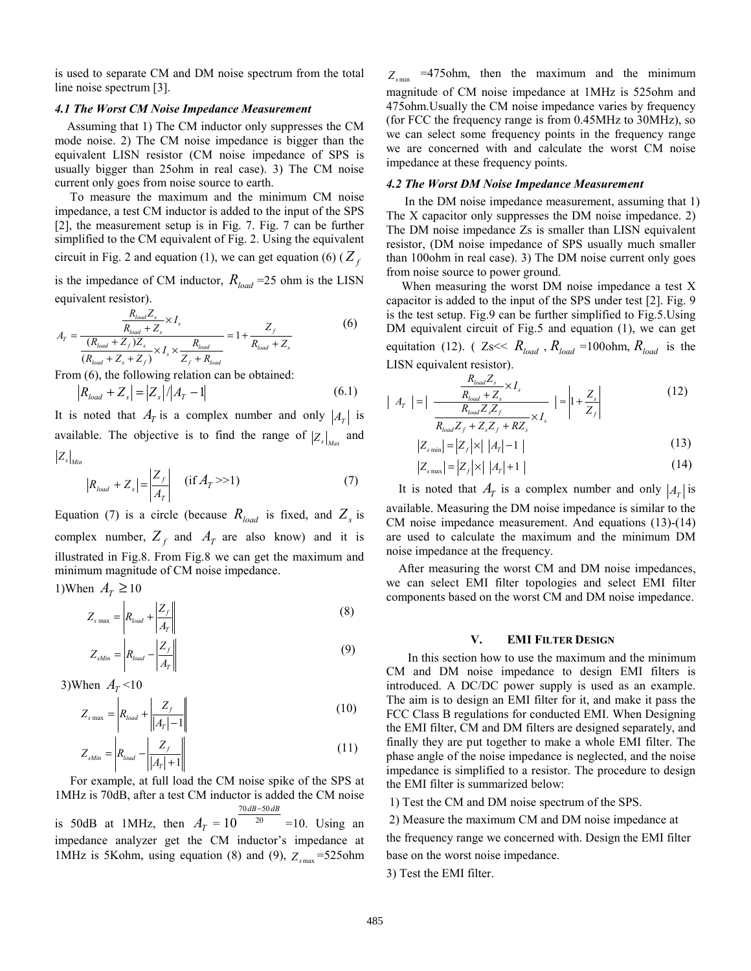is used to separate CM and DM noise spectrum from the total line noise spectrum [3].

#### *4.1 The Worst CM Noise Impedance Measurement*

 Assuming that 1) The CM inductor only suppresses the CM mode noise. 2) The CM noise impedance is bigger than the equivalent LISN resistor (CM noise impedance of SPS is usually bigger than 25ohm in real case). 3) The CM noise current only goes from noise source to earth.

 To measure the maximum and the minimum CM noise impedance, a test CM inductor is added to the input of the SPS [2], the measurement setup is in Fig. 7. Fig. 7 can be further simplified to the CM equivalent of Fig. 2. Using the equivalent circuit in Fig. 2 and equation (1), we can get equation (6) ( $Z_f$ 

is the impedance of CM inductor,  $R_{load}$  =25 ohm is the LISN equivalent resistor).

$$
A_{T} = \frac{\frac{R_{load}Z_{s}}{R_{load} + Z_{s}} \times I_{s}}{(\frac{R_{load} + Z_{f})Z_{s}}{(R_{load} + Z_{s} + Z_{f})} \times I_{s} \times \frac{R_{load}}{Z_{f} + R_{load}}} = 1 + \frac{Z_{f}}{R_{load} + Z_{s}}
$$
(6)

From (6), the following relation can be obtained:

$$
|R_{load} + Z_s| = |Z_s| / |A_T - 1|
$$
\n(6.1)

It is noted that  $A_T$  is a complex number and only  $|A_T|$  is available. The objective is to find the range of  $|Z_s|_{\text{MSE}}$  and  $\left| Z_s \right|_{Min}$ 

$$
|R_{load} + Z_s| = \left| \frac{Z_f}{A_T} \right| \quad \text{(if } A_T > 1\text{)}\tag{7}
$$

Equation (7) is a circle (because  $R_{load}$  is fixed, and  $Z_s$  is complex number,  $Z_f$  and  $A_f$  are also know) and it is illustrated in Fig.8. From Fig.8 we can get the maximum and minimum magnitude of CM noise impedance.

1)When  $A_T \ge 10$ 

$$
Z_{s \max} = \left| R_{load} + \left| \frac{Z_f}{A_T} \right| \right| \tag{8}
$$

$$
Z_{\text{Min}} = \left| R_{\text{load}} - \left| \frac{Z_f}{A_T} \right| \right| \tag{9}
$$

3)When  $A_T < 10$ 

$$
Z_{s\max} = \left| R_{load} + \left| \frac{Z_f}{|A_T| - 1} \right| \right| \tag{10}
$$

$$
Z_{\text{sMin}} = \left| R_{\text{load}} - \left| \frac{Z_f}{|A_T| + 1} \right| \right| \tag{11}
$$

 For example, at full load the CM noise spike of the SPS at 1MHz is 70dB, after a test CM inductor is added the CM noise 70dB-50 dB–50*dB* 

is 50dB at 1MHz, then  $A_T = 10^{20}$ 10 =10. Using an impedance analyzer get the CM inductor's impedance at 1MHz is 5Kohm, using equation (8) and (9),  $Z_{\text{sun}} = 525$ ohm

 $Z_{\text{cmin}}$  =475ohm, then the maximum and the minimum magnitude of CM noise impedance at 1MHz is 525ohm and 475ohm.Usually the CM noise impedance varies by frequency (for FCC the frequency range is from 0.45MHz to 30MHz), so we can select some frequency points in the frequency range we are concerned with and calculate the worst CM noise impedance at these frequency points.

# *4.2 The Worst DM Noise Impedance Measurement*

 In the DM noise impedance measurement, assuming that 1) The X capacitor only suppresses the DM noise impedance. 2) The DM noise impedance Zs is smaller than LISN equivalent resistor, (DM noise impedance of SPS usually much smaller than 100ohm in real case). 3) The DM noise current only goes from noise source to power ground.

 When measuring the worst DM noise impedance a test X capacitor is added to the input of the SPS under test [2]. Fig. 9 is the test setup. Fig.9 can be further simplified to Fig.5.Using DM equivalent circuit of Fig.5 and equation (1), we can get equitation (12). (  $Z_s \ll R_{load}$ ,  $R_{load} = 100$ ohm,  $R_{load}$  is the LISN equivalent resistor).

$$
|A_{T}| = \left| \frac{\frac{R_{load} Z_{s}}{R_{load} + Z_{s}} \times I_{s}}{\frac{R_{load} Z_{s} Z_{f}}{R_{load} Z_{s} Z_{f} + Z_{s} Z_{f} + R Z_{s}} \right| \approx \left| 1 + \frac{Z_{s}}{Z_{f}} \right|
$$
(12)

$$
|Z_{\text{small}}| = |Z_f| \times |A_r| - 1 \tag{13}
$$

$$
|Z_{s\max}| = |Z_f| \times |A_r| + 1 \tag{14}
$$

It is noted that  $A_T$  is a complex number and only  $|A_T|$  is available. Measuring the DM noise impedance is similar to the CM noise impedance measurement. And equations (13)-(14) are used to calculate the maximum and the minimum DM noise impedance at the frequency.

 After measuring the worst CM and DM noise impedances, we can select EMI filter topologies and select EMI filter components based on the worst CM and DM noise impedance.

#### **V. EMI FILTER DESIGN**

 In this section how to use the maximum and the minimum CM and DM noise impedance to design EMI filters is introduced. A DC/DC power supply is used as an example. The aim is to design an EMI filter for it, and make it pass the FCC Class B regulations for conducted EMI. When Designing the EMI filter, CM and DM filters are designed separately, and finally they are put together to make a whole EMI filter. The phase angle of the noise impedance is neglected, and the noise impedance is simplified to a resistor. The procedure to design the EMI filter is summarized below:

1) Test the CM and DM noise spectrum of the SPS.

 2) Measure the maximum CM and DM noise impedance at the frequency range we concerned with. Design the EMI filter

base on the worst noise impedance.

3) Test the EMI filter.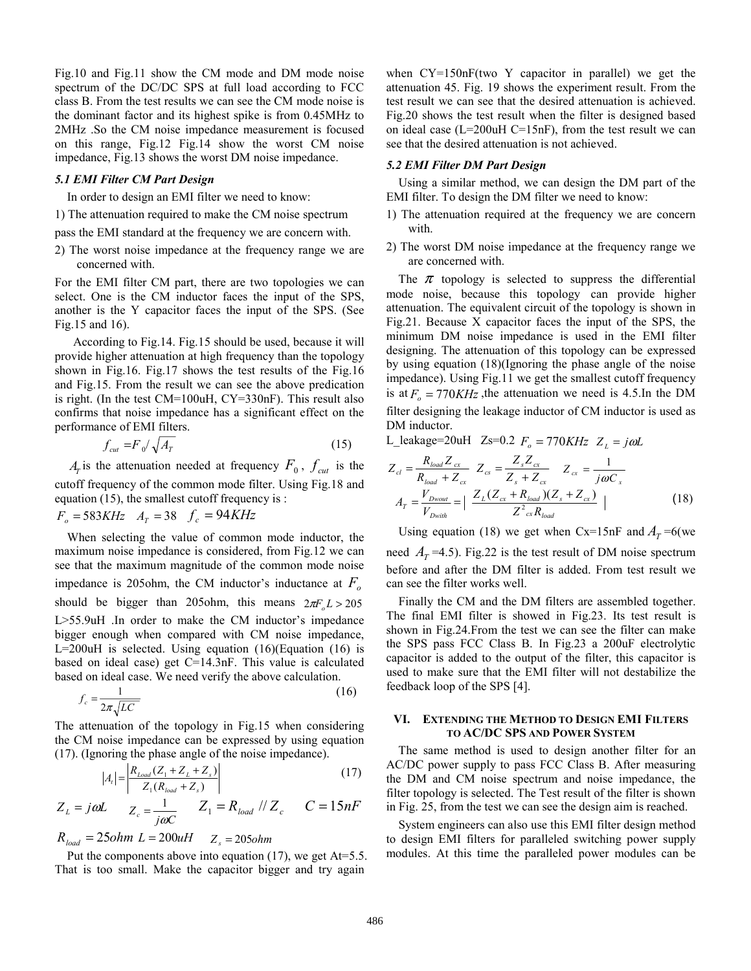Fig.10 and Fig.11 show the CM mode and DM mode noise spectrum of the DC/DC SPS at full load according to FCC class B. From the test results we can see the CM mode noise is the dominant factor and its highest spike is from 0.45MHz to 2MHz .So the CM noise impedance measurement is focused on this range, Fig.12 Fig.14 show the worst CM noise impedance, Fig.13 shows the worst DM noise impedance.

#### *5.1 EMI Filter CM Part Design*

In order to design an EMI filter we need to know:

1) The attenuation required to make the CM noise spectrum

pass the EMI standard at the frequency we are concern with.

2) The worst noise impedance at the frequency range we are concerned with.

For the EMI filter CM part, there are two topologies we can select. One is the CM inductor faces the input of the SPS, another is the Y capacitor faces the input of the SPS. (See Fig.15 and 16).

 According to Fig.14. Fig.15 should be used, because it will provide higher attenuation at high frequency than the topology shown in Fig.16. Fig.17 shows the test results of the Fig.16 and Fig.15. From the result we can see the above predication is right. (In the test CM=100uH, CY=330nF). This result also confirms that noise impedance has a significant effect on the performance of EMI filters.

$$
f_{\text{cut}} = F_0 / \sqrt{A_T} \tag{15}
$$

 $A_T$  is the attenuation needed at frequency  $F_0$ ,  $f_{cut}$  is the cutoff frequency of the common mode filter. Using Fig.18 and equation (15), the smallest cutoff frequency is :

$$
F_o = 583KHz \quad A_T = 38 \quad f_c = 94KHz
$$

 When selecting the value of common mode inductor, the maximum noise impedance is considered, from Fig.12 we can see that the maximum magnitude of the common mode noise impedance is 205ohm, the CM inductor's inductance at  $F_o$ should be bigger than 205ohm, this means  $2\pi F L > 205$ L>55.9uH .In order to make the CM inductor's impedance bigger enough when compared with CM noise impedance,  $L=200$ uH is selected. Using equation  $(16)$ (Equation  $(16)$  is based on ideal case) get C=14.3nF. This value is calculated based on ideal case. We need verify the above calculation.

$$
f_c = \frac{1}{2\pi\sqrt{LC}}\tag{16}
$$

The attenuation of the topology in Fig.15 when considering the CM noise impedance can be expressed by using equation (17). (Ignoring the phase angle of the noise impedance).

$$
|A_t| = \left| \frac{R_{Load}(Z_1 + Z_L + Z_s)}{Z_1(R_{load} + Z_s)} \right|
$$
 (17)

$$
Z_L = j\omega L \qquad Z_c = \frac{1}{j\omega C} \qquad Z_1 = R_{load} / Z_c \qquad C = 15nF
$$

# $R_{load} = 25ohm L = 200uH Z_s = 205ohm$

Put the components above into equation  $(17)$ , we get At=5.5. That is too small. Make the capacitor bigger and try again

when CY=150nF(two Y capacitor in parallel) we get the attenuation 45. Fig. 19 shows the experiment result. From the test result we can see that the desired attenuation is achieved. Fig.20 shows the test result when the filter is designed based on ideal case (L=200uH C=15nF), from the test result we can see that the desired attenuation is not achieved.

#### *5.2 EMI Filter DM Part Design*

 Using a similar method, we can design the DM part of the EMI filter. To design the DM filter we need to know:

- 1) The attenuation required at the frequency we are concern with.
- 2) The worst DM noise impedance at the frequency range we are concerned with.

The  $\pi$  topology is selected to suppress the differential mode noise, because this topology can provide higher attenuation. The equivalent circuit of the topology is shown in Fig.21. Because X capacitor faces the input of the SPS, the minimum DM noise impedance is used in the EMI filter designing. The attenuation of this topology can be expressed by using equation (18)(Ignoring the phase angle of the noise impedance). Using Fig.11 we get the smallest cutoff frequency is at  $F_a = 770KHz$ , the attenuation we need is 4.5.In the DM filter designing the leakage inductor of CM inductor is used as DM inductor.

L\_leakage=20uH Zs=0.2  $F_o = 770KHz$   $Z_L = j\omega L$ 

$$
Z_{cl} = \frac{R_{load} Z_{cx}}{R_{load} + Z_{cx}} Z_{cs} = \frac{Z_s Z_{cx}}{Z_s + Z_{cx}} Z_{cx} = \frac{1}{j\omega C_x}
$$
  

$$
A_T = \frac{V_{Dwout}}{V_{Dwith}} = \left| \frac{Z_L (Z_{cx} + R_{load})(Z_s + Z_{cx})}{Z_{cx}^2 R_{load}} \right|
$$
(18)

Using equation (18) we get when Cx=15nF and  $A_T = 6$  (we need  $A_T$ =4.5). Fig.22 is the test result of DM noise spectrum before and after the DM filter is added. From test result we can see the filter works well.

 Finally the CM and the DM filters are assembled together. The final EMI filter is showed in Fig.23. Its test result is shown in Fig.24.From the test we can see the filter can make the SPS pass FCC Class B. In Fig.23 a 200uF electrolytic capacitor is added to the output of the filter, this capacitor is used to make sure that the EMI filter will not destabilize the feedback loop of the SPS [4].

#### **VI. EXTENDING THE METHOD TO DESIGN EMI FILTERS TO AC/DC SPS AND POWER SYSTEM**

 The same method is used to design another filter for an AC/DC power supply to pass FCC Class B. After measuring the DM and CM noise spectrum and noise impedance, the filter topology is selected. The Test result of the filter is shown in Fig. 25, from the test we can see the design aim is reached.

 System engineers can also use this EMI filter design method to design EMI filters for paralleled switching power supply modules. At this time the paralleled power modules can be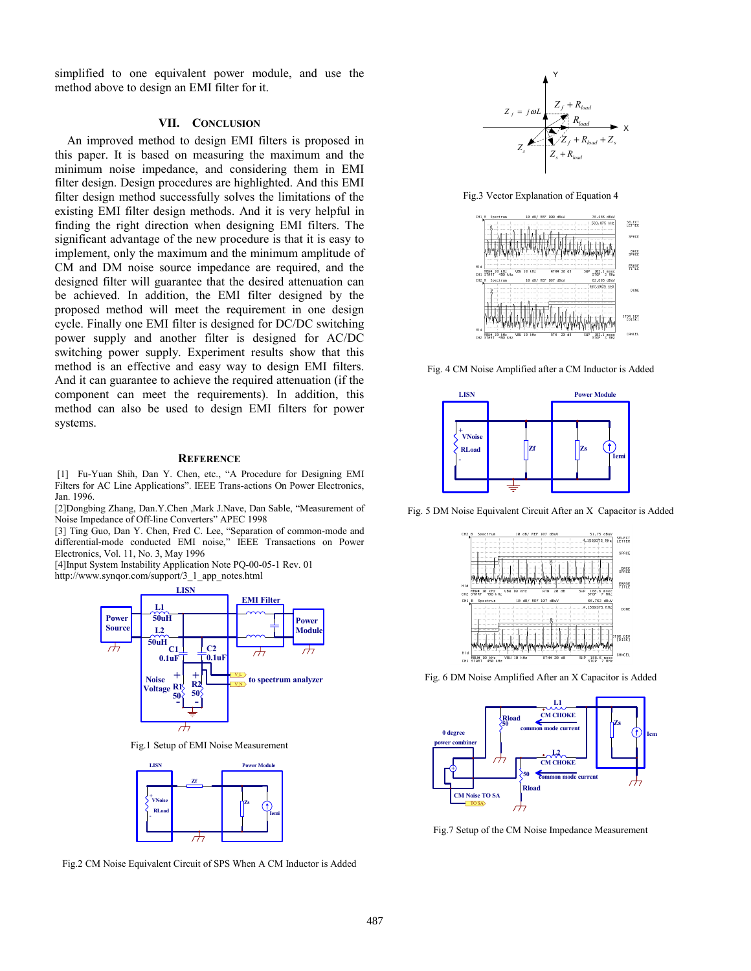simplified to one equivalent power module, and use the method above to design an EMI filter for it.

#### **VII. CONCLUSION**

 An improved method to design EMI filters is proposed in this paper. It is based on measuring the maximum and the minimum noise impedance, and considering them in EMI filter design. Design procedures are highlighted. And this EMI filter design method successfully solves the limitations of the existing EMI filter design methods. And it is very helpful in finding the right direction when designing EMI filters. The significant advantage of the new procedure is that it is easy to implement, only the maximum and the minimum amplitude of CM and DM noise source impedance are required, and the designed filter will guarantee that the desired attenuation can be achieved. In addition, the EMI filter designed by the proposed method will meet the requirement in one design cycle. Finally one EMI filter is designed for DC/DC switching power supply and another filter is designed for AC/DC switching power supply. Experiment results show that this method is an effective and easy way to design EMI filters. And it can guarantee to achieve the required attenuation (if the component can meet the requirements). In addition, this method can also be used to design EMI filters for power systems.

#### **REFERENCE**

 [1] Fu-Yuan Shih, Dan Y. Chen, etc., "A Procedure for Designing EMI Filters for AC Line Applications". IEEE Trans-actions On Power Electronics, Jan. 1996.

[2]Dongbing Zhang, Dan.Y.Chen ,Mark J.Nave, Dan Sable, "Measurement of Noise Impedance of Off-line Converters" APEC 1998

[3] Ting Guo, Dan Y. Chen, Fred C. Lee, "Separation of common-mode and differential-mode conducted EMI noise," IEEE Transactions on Power Electronics, Vol. 11, No. 3, May 1996

[4]Input System Instability Application Note PQ-00-05-1 Rev. 01 http://www.synqor.com/support/3\_1\_app\_notes.html



Fig.1 Setup of EMI Noise Measurement



Fig.2 CM Noise Equivalent Circuit of SPS When A CM Inductor is Added



Fig.3 Vector Explanation of Equation 4



Fig. 4 CM Noise Amplified after a CM Inductor is Added



Fig. 5 DM Noise Equivalent Circuit After an X Capacitor is Added



Fig. 6 DM Noise Amplified After an X Capacitor is Added



Fig.7 Setup of the CM Noise Impedance Measurement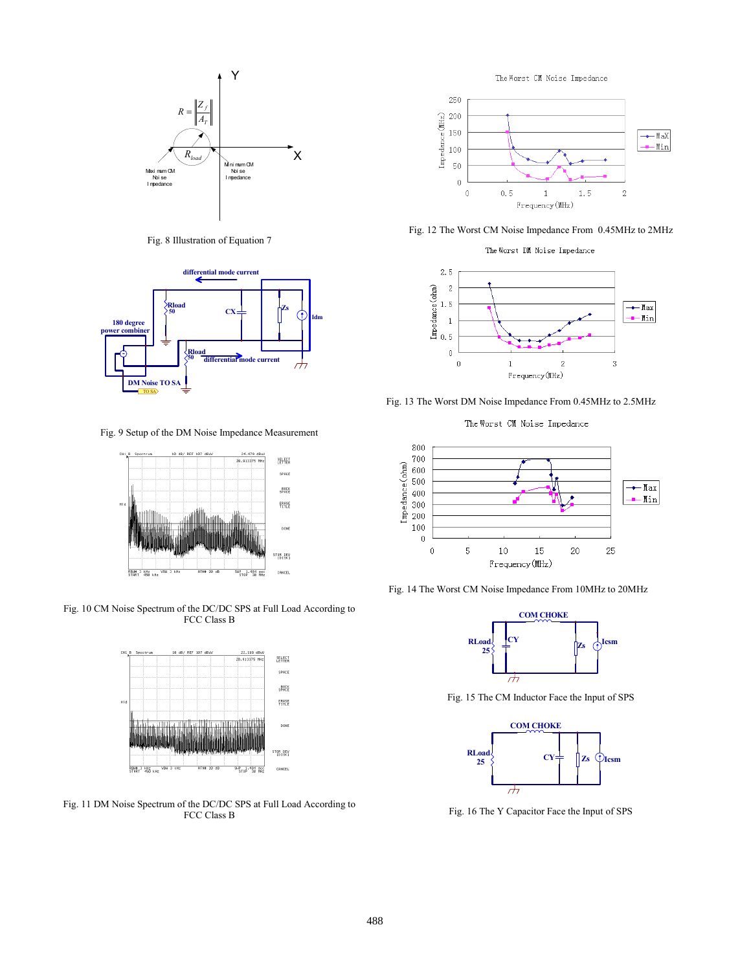

Fig. 8 Illustration of Equation 7



Fig. 9 Setup of the DM Noise Impedance Measurement



Fig. 10 CM Noise Spectrum of the DC/DC SPS at Full Load According to FCC Class B



Fig. 11 DM Noise Spectrum of the DC/DC SPS at Full Load According to FCC Class B

The Worst CM Noise Impedance



Fig. 12 The Worst CM Noise Impedance From 0.45MHz to 2MHz

The Worst DM Noise Impedance



Fig. 13 The Worst DM Noise Impedance From 0.45MHz to 2.5MHz

The Worst CM Noise Impedance



Fig. 14 The Worst CM Noise Impedance From 10MHz to 20MHz



Fig. 15 The CM Inductor Face the Input of SPS



Fig. 16 The Y Capacitor Face the Input of SPS